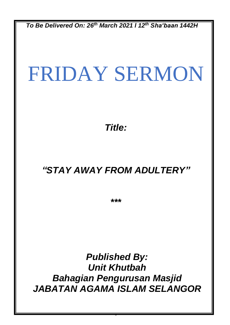*To Be Delivered On: 26th March 2021 l 12th Sha'baan 1442H*

# FRIDAY SERMON

*Title:*

## *"STAY AWAY FROM ADULTERY"*

*\*\*\**

*Published By: Unit Khutbah Bahagian Pengurusan Masjid JABATAN AGAMA ISLAM SELANGOR*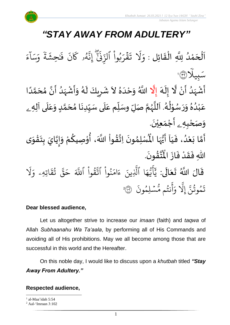

## *"STAY AWAY FROM ADULTERY"*

 $\overline{\phantom{a}}$ اَلْحَمْدُ لِلَّهِ الْقَائِلِ : وَلَا تَقْرَبُواْ ٱلزِّنَىٰٓ ۚ إِنَّهُو كَانَ فَحِشَةً وَسَآءَ ֦֧<sup>֟</sup>  $\overline{\phantom{a}}$ نة<br>ا و<br>و ់<br>ត ش<br>مر  $\frac{1}{2}$ ْ ء  $\tilde{1}$ ا ِ<br>س ر<br>سد ر<br>م و  $\ddot{\ddot{\cdot}$ ة  $\tilde{\cdot}$ ِّحش َٰ  $\ddot{\cdot}$ ف  $\ddot{\cdot}$ ن ر<br>م ۥ َك ه و<br>لم ِ<br>په مَ إِيَّةٍ<br>}<br>إِذْ  $\ddot{\cdot}$ ِ<br>ن ب<br>م بُوا الزَّ **ٔ** و<br>د ِ قْرَ  $\ddot{\mathbf{z}}$  $\ddot{\phantom{0}}$ ن<br>ن َ َل  $\frac{1}{\alpha}$ و ֦֧<br>֡֡֜֜֜֜֜֜֜֜֜֜֜֜֜֜֜֜֜֜֜֜֜<br>׀ ِّيل ب ِ سَبِيلاً (٣٦) الا<br>ا ំ<br>• ً<br>منبع<br>منبع و<br>ا ْ ِ<br>پنج ં<br>ત  $\tilde{\mathbf{r}}$ الا  $\sum_{i=1}^{n}$ ،<br>ا ْ  $\ddot{\mathbf{z}}$ ر<br>ر ِ<br>پ  $\ddot{\phantom{0}}$  $\lambda$ َ

.<br>أَشْهَدُ أَنْ لَّا إِلَهَ إِلَّا اللَّهُ وَحْدَهُ لاَ شَرِيكَ لَهُ وَأَشْهَدُ أَنَّ مُحَمَّدًا ر<br>زار  $\frac{1}{2}$ ً<br>أ ت<br>م  $\frac{1}{2}$ انہ ر<br>زا  $\tilde{\cdot}$  $\overline{\phantom{a}}$  $\frac{1}{2}$  $\frac{1}{2}$ عَبْدُهُ وَرَسُوْلُهُ. اَللَّهُمَّ صَلِّ وسَلِّم عَلَى سَيِّدِنَا مُحَمَّدٍ وَعَلَى آلِهِ ـ  $\overline{\mathbf{1}}$ ِ<br>م  $\tilde{\mathbf{i}}$ ا<br>م ر<br>ر<br>ر ش<br>آا َ .<br>لم  $\frac{1}{\epsilon}$ ់<br>្ و<br>ر  $\ddot{\phantom{0}}$  $\tilde{\cdot}$  $\frac{1}{2}$ و<br>ا ់<br>រ ً<br>م  $\overline{\mathbf{r}}$ ِ<br>م  $\tilde{\cdot}$ <u>لم</u> ر<br>م )<br>ጎ  $\ddot{\phantom{0}}$  $\frac{1}{1}$ و*َص<sub>َ</sub>حْبِهِ <sub>ۦ</sub>* أَجْمَعِيْنَ. ْ  $\ddot{\phantom{0}}$ ់<br>(  $\tilde{a}$  $\tilde{\mathbf{r}}$ 

-<br>أَمَّا بَعْدُ، فَيَا أَيُّهَا الْمُسْلِمُونَ  $\frac{1}{1}$  $\frac{1}{2}$ .<br>و ំ<br>រ  $\tilde{\cdot}$ لة<br>م ِ<br>پنج  $\ddot{\phantom{0}}$ }<br>ለ أَيُّهَا الْمُسْلِمُونَ اِتَّقُواْ اللَّهَ، أُوْصِيكُمْ وَإِيَّايَ بِتَقْوَى ِ<br>اس ُ<br>وُلا<br>•  $\frac{1}{2}$  $\tilde{\phantom{a}}$ ֦֧<u>֦</u>  $\ddot{\phantom{0}}$  $\frac{1}{2}$ ا<br>ا !<br>...  $\tilde{\cdot}$ ر<br>م י<br>י **ہے**<br>' ؗ<br>ا **ہیں** الة .  $\ddot{\phantom{0}}$ ؾڤؤنَ  $\frac{9}{4}$ ا<br>ایر<br>جو ہ<br>ا اللّٰهِ فَقَدْ فَازَ الْمُ  $\ddot{\cdot}$  $\frac{1}{2}$ ْ  $\frac{1}{2}$  $\ddot{\cdot}$ 

قَالَ اللَّهُ تَعَالَى: ِ<br>ا َ  $\ddot{\phantom{0}}$  $\ddot{\mathbf{r}}$ ِ<br>په نُوا اڌّ <u>ہ</u><br>ا ُو<br>و  $\frac{1}{2}$ ام  $\tilde{\epsilon}$ ء ِّينَ یہ<br>۱ ا الَّذِ ِ<br>م ه و<br>د سَ<br>ڊ ۔<br>ج  $\overline{\mathcal{L}}$ ِ<br>د بد ر<br>1 َل ر<br>م اتِّهِّۦ و  $\ddot{\mathbf{z}}$ ق ت و<br>په ِ<br>په قی  $\tilde{\phantom{a}}$ ح ِ<br>آک قُوا اللَّهَ ْ بِ ور  $\ddot{\cdot}$ ون لِّم س و<br>م  $\ddot{\phantom{0}}$ و<br>مم نتُم مَّ و<br>په ِ<br>ج أ  $\frac{1}{c}$ و ِ<br>آ َِّل إ ِ<br>پَ تَمُوثُنَّ إِلَّا وَأَنتُم مُّسۡلِمُونَ ۞ و<br>په و<br>م 2

#### **Dear blessed audience,**

Let us altogether strive to increase our *imaan* (faith) and *taqwa* of Allah *Subhaanahu Wa Ta'aala*, by performing all of His Commands and avoiding all of His prohibitions. May we all become among those that are successful in this world and the Hereafter.

On this noble day, I would like to discuss upon a *khutbah* titled *"Stay Away From Adultery."*

#### **Respected audience,**

<sup>&</sup>lt;sup>1</sup> al-Maa'idah 5:54

<sup>2</sup> Aal-'Imraan 3:102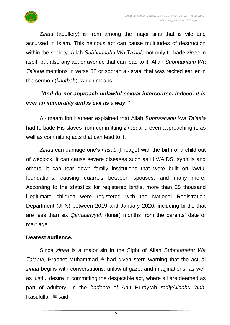

*Zinaa* (adultery) is from among the major sins that is vile and accursed in Islam. This heinous act can cause multitudes of destruction within the society. Allah *Subhaanahu Wa Ta'aala* not only forbade *zinaa* in itself, but also any act or avenue that can lead to it. Allah *Subhaanahu Wa Ta'aala* mentions in verse 32 or soorah al-Israa' that was recited earlier in the sermon (*khutbah*), which means:

### *"And do not approach unlawful sexual intercourse. Indeed, it is ever an immorality and is evil as a way."*

Al-Imaam ibn Katheer explained that Allah *Subhaanahu Wa Ta'aala* had forbade His slaves from committing *zinaa* and even approaching it, as well as committing acts that can lead to it.

*Zinaa* can damage one's *nasab* (lineage) with the birth of a child out of wedlock, it can cause severe diseases such as HIV/AIDS, syphilis and others, it can tear down family institutions that were built on lawful foundations, causing quarrels between spouses, and many more. According to the statistics for registered births, more than 25 thousand illegitimate children were registered with the National Registration Department (JPN) between 2019 and January 2020, including births that are less than six *Qamaariyyah* (lunar) months from the parents' date of marriage.

#### **Dearest audience,**

Since *zinaa* is a major sin in the Sight of Allah *Subhaanahu Wa Ta'aala*, Prophet Muhammad  $\ddot{\mathcal{L}}$  had given stern warning that the actual *zinaa* begins with conversations, unlawful gaze, and imaginations, as well as lustful desire in committing the despicable act, where all are deemed as part of adultery. In the *hadeeth* of Abu Hurayrah *radiyAllaahu 'anh*, Rasulullah <sup>26</sup> said: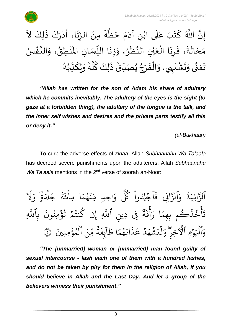

#### $\sim$ إِنَّ اللَّهَ كَتَبَ عَلَى ابْنِ آدَمَ حَظَّهُ مِنَ الزِّنَا، أَدْرَكَ ذَلِكَ لاَ  $\ddot{\cdot}$ ا<br>د  $\ddot{\phantom{0}}$ ْ  $\frac{1}{2}$ ِ<br>پ ز  $\frac{1}{2}$  $\ddot{\phantom{0}}$ و<br>گ ا<br>ا  $\ddot{\phantom{0}}$  $\frac{1}{2}$  $\sim$ ليا ْ  $\frac{1}{1}$ .<br>م  $\ddot{\ }$ ์<br>-<br>-بة<br>\*  $\ddot{\cdot}$  طق ن ْ  $\hat{\mathbf{r}}$ ِ<br>مَحَالَةَ، فَزِنَا الْعَيْنِ النَّظَرُ، وَزِنَا اللِّسَانِ الْمَنْطِقُ، وَالنَّفْسُ ر<br>س  $\ddot{\phantom{0}}$ زِ  $\frac{1}{2}$ **بر**<br>•  $\ddot{\phantom{0}}$ اتا<br>ج ់<br>( ي  $\frac{1}{2}$ ْ  $\ddot{\phantom{0}}$ ز  $\frac{1}{2}$  $\frac{1}{2}$  $\tilde{\mathbf{r}}$  $\overline{\phantom{a}}$  $\frac{1}{2}$ و<br>م ֦֧֦֦֧֝<u>֦</u> ا<br>تار<br>ج  $\frac{1}{2}$ ۔<br>پر تَمَنَّى وَتَشْتَ<sub>بِ</sub>ي، وَالْفَرْجُ يُصَدِّقُ ذَلِكَ كُلَّهُ وَيُكَذِّبُهُ ُ<br>ُ•  $\frac{1}{2}$ َ ُ ์ و<br>گ ہ<br>اد ُ ا<br>اب<br>: <sup>و</sup>  $\frac{1}{\sqrt{2}}$ ُ<br>په ُ ْ ا<br>-<br>• ٠<br>أ  $\frac{1}{2}$  $\mathbf{r}$  $\ddot{\ }$ ْ  $\frac{1}{2}$  $\frac{1}{2}$ لة<br>•  $\frac{1}{2}$  $\frac{1}{2}$

*"Allah has written for the son of Adam his share of adultery which he commits inevitably. The adultery of the eyes is the sight (to gaze at a forbidden thing), the adultery of the tongue is the talk, and the inner self wishes and desires and the private parts testify all this or deny it."*

*(al-Bukhaari)*

To curb the adverse effects of *zinaa*, Allah *Subhaanahu Wa Ta'aala* has decreed severe punishments upon the adulterers. Allah *Subhaanahu Wa Ta'aala* mentions in the 2<sup>nd</sup> verse of soorah an-Noor:

ر<br>1 َل ر<br>م و ٖ ة  $\ddot{\phantom{0}}$ ِ<br>لک ہ<br>1 ِل  $\overline{\phantom{a}}$ ج  $\ddot{\mathbf{z}}$ ة ر<br>ع ئ ا ِّما **ٔ**  $\frac{1}{2}$ ج و<br>نگه و<br>م  $\ddot{\phantom{0}}$ ں<br>س جِدٍ مِّ  $\frac{1}{\alpha}$ و وپہ<br>حما ٱجۡلِدُواْ كُلَّ ُ<br>ا  $\frac{1}{2}$  $\ddot{\cdot}$ ِِّن ف ا ِ<br>په الزَّ َ<br>م و ة ور<br>د  $\frac{1}{1}$ انِّي ِ<br>په الزَّ ِّ یہ<br>ا بِاللَّهِ  $\ddot{\cdot}$ ِّ إِنْ كُنتُمْ تُؤْمِنُونَ ُو<br>په ہ<br>ء و<br>په  $\frac{1}{2}$ و<br>په و ِ<br>آ فِی دِینِ اَللَّٰہِ وو<br>په ة  $\ddot{\cdot}$ ف َ<br>ج أ ِ<br>پ ا ر  $\frac{1}{2}$ اخُذَكُم بِهِمَ و <u>ہ</u> و<br>د َ<br>عِ  $\ddot{\phantom{0}}$ ;<br>ن ِّمنِّنيَ ؤ م ٱل ِّنَ ہ<br>ء و ہ<br>1 ∝<br>مر وو<br>مو ة  $\ddot{\cdot}$ بِ<br>غ  $\tilde{1}$ ا  $\frac{1}{2}$ ا ط  $\frac{1}{2}$ و<br>په و<br>م ِ<br>ا اب  $\ddot{\cdot}$ ذ ِ<br>م دٌ عَ ہ<br>ا  $\frac{1}{4}$ خشهَ<br>مشك  $\ddot{\bullet}$ ِ<br>پ ي ل ہ<br>1  $\frac{1}{\alpha}$ وۡمٖ ٱلۡٱخِرِ ۗ وَ  $\ddot{\phantom{0}}$  $\overline{\phantom{a}}$ ہ<br>1 وَٱلۡيَوۡمِ ٱلۡٱخِرِّ وَلۡيَشۡهَدۡ عَذَابَهُمَا طَآبِفَةٌ مِّنَ ٱلۡمُؤۡمِنِينَ ۞

*"The [unmarried] woman or [unmarried] man found guilty of sexual intercourse - lash each one of them with a hundred lashes, and do not be taken by pity for them in the religion of Allah, if you should believe in Allah and the Last Day. And let a group of the believers witness their punishment."*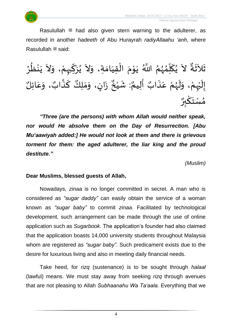

Rasulullah  $\ddot{\mathcal{Z}}$  had also given stern warning to the adulterer, as recorded in another *hadeeth* of Abu Hurayrah *radiyAllaahu 'anh*, where Rasulullah <sup>26</sup> said:

لاَ يُكَلِّمُهُمُ اللَّهُ يَوْمَ الْقِيَامَةِ  $\frac{1}{2}$ َ ْ  $\frac{1}{2}$ י<br>י  $\ddot{\phantom{0}}$ ُر<br>ر<br>ر ๋<br>^ ر<br>ما ์<br>-<br>-ُ<br>پ  $\tilde{\phantom{a}}$  $\frac{9}{4}$ ثَلاَثَةٌ لاَ يُكَلِّمُهُمُ اللَّهُ يَوْمَ الْقِيَامَةِ، وَلاَ يُزَكِّمِهُ، وَلاَ يَنْظُرُ  $\ddot{\mathbf{r}}$  $\tilde{\phantom{a}}$  $\frac{1}{2}$ ْ ֦֕<br>֞  $\ddot{\phantom{0}}$ ُ<br>ُ•  $\sim$  $\frac{1}{2}$ و<br>و ፟<br>፟ ْ  $\overline{\phantom{a}}$  $\sim$  $\tilde{\cdot}$ ْ إِلَيْهِمْ، وَلَهُمْ عَ ່<br>ີ  $\tilde{\mathbf{r}}$  $\frac{1}{2}$ .<br>م ْ ر<br>ر<br>ر  $\tilde{\mathbf{r}}$  $\frac{1}{2}$  $\frac{1}{\sqrt{2}}$ أَلِيمٌ  $\frac{1}{2}$ **و** نَابٌ أَلِيمٌ: شَيْخٌ زَانٍ، وَمَلِكٌ كَذَّابٌ، وَعَائِلٌ  $\ddot{\cdot}$ ِ<br>م  $\tilde{\cdot}$ ٌ زَانٍ، وَمَلِكٌ كَذَّابٌ ان<br>م .<br>- $\frac{1}{2}$  $\frac{1}{2}$ ا<br>ا  $\ddot{\cdot}$ ِ<br>په په مه<br>شيخ ْ  $\frac{1}{2}$ و<br>م وه<br>بر بر <u>۠</u> ك  $\ddot{\ }$ ت ِ<br>سُ ۔<br>م'∕ و<br>ه

*"Three (are the persons) with whom Allah would neither speak, nor would He absolve them on the Day of Resurrection. [Abu Mu'aawiyah added:] He would not look at them and there is grievous torment for them: the aged adulterer, the liar king and the proud destitute."* 

*(Muslim)*

#### **Dear Muslims, blessed guests of Allah,**

Nowadays, *zinaa* is no longer committed in secret. A man who is considered as *"sugar daddy"* can easily obtain the service of a woman known as *"sugar baby"* to commit *zinaa*. Facilitated by technological development, such arrangement can be made through the use of online application such as *Sugarbook*. The application's founder had also claimed that the application boasts 14,000 university students throughout Malaysia whom are registered as *"sugar baby"*. Such predicament exists due to the desire for luxurious living and also in meeting daily financial needs.

Take heed, for *rizq* (sustenance) is to be sought through *halaal* (lawful) means. We must stay away from seeking *rizq* through avenues that are not pleasing to Allah *Subhaanahu Wa Ta'aala*. Everything that we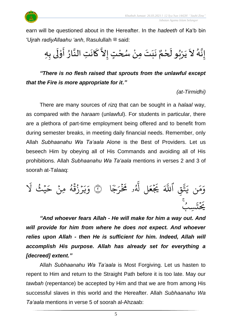

earn will be questioned about in the Hereafter. In the *hadeeth* of Ka'b bin 'Ujrah *radiyAllaahu 'anh*, Rasulullah <sup>22</sup> said:

نَبَتَ مِنْ سُحْتٍ إِلاَّ كَانَتِ النَّارُ أَوْلَى بِهِ  $\frac{1}{2}$ ل ֦֧֦֧֦ َ  $\frac{1}{2}$ ان<br>ب ़<br>-<br>•  $\frac{1}{2}$ المستعمر  $\frac{1}{2}$ ْ ر<br>ر ْ َ  $\frac{1}{1}$  $\ddot{\phantom{0}}$  $\frac{1}{\sqrt{2}}$ إِنَّهُ لاَ يَرْبُو لَحْمٌ ْ  $\tilde{\mathbf{r}}$ بو<br>∙ ۠<br>ٛ  $\ddot{\phantom{0}}$  $\tilde{\phantom{a}}$ و<br>گ بة<br>\*  $\frac{1}{2}$ 

*"There is no flesh raised that sprouts from the unlawful except that the Fire is more appropriate for it."*

*(at-Tirmidhi)*

There are many sources of *rizq* that can be sought in a *halaal* way, as compared with the *haraam* (unlawful). For students in particular, there are a plethora of part-time employment being offered and to benefit from during semester breaks, in meeting daily financial needs. Remember, only Allah *Subhaanahu Wa Ta'aala* Alone is the Best of Providers. Let us beseech Him by obeying all of His Commands and avoiding all of His prohibitions. Allah *Subhaanahu Wa Ta'aala* mentions in verses 2 and 3 of soorah at-Talaaq:

ا ٗ ج ُ<br>م ر<br>ز ة<br>مۇ و مُخَ و<br>م یہ<br>ا ل َّل  $\frac{1}{2}$ ع  $\frac{1}{2}$ ِرِ يَجْ ِ<br>آک قِ اللَّهَ ِ<br>په تة<br>م ِ<br>د ن ي  $\frac{1}{2}$ بر<br>م  $\frac{1}{2}$ وَمَن يَتَّقَّ اللَّهَ يَجْعَلُ لَهُو مُخَرَجًا ۞ َ يمنًى لا و<br>پو ہ<br>،  $\tilde{\phantom{a}}$ ئرُقَهُ مِنْ حَـ ؚ<br>ٛ و<br>لم  $\frac{2}{1}$ ُ .<br>م  $\tilde{\cdot}$ ر<br>يا ر<br>ہ و .<br>و ِّسب  $\ddot{\phantom{0}}$ بر<br>ند  $\frac{1}{2}$ ِ<br>م بِر<br>پچ

*"And whoever fears Allah - He will make for him a way out. And will provide for him from where he does not expect. And whoever relies upon Allah - then He is sufficient for him. Indeed, Allah will accomplish His purpose. Allah has already set for everything a [decreed] extent."*

Allah *Subhaanahu Wa Ta'aala* is Most Forgiving. Let us hasten to repent to Him and return to the Straight Path before it is too late. May our *tawbah* (repentance) be accepted by Him and that we are from among His successful slaves in this world and the Hereafter. Allah *Subhaanahu Wa Ta'aala* mentions in verse 5 of soorah al-Ahzaab: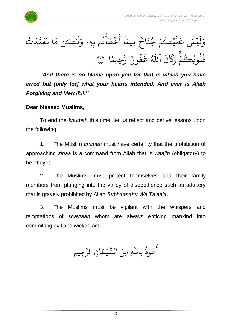

تۡ َ د ى<br>^ ت<br>نم  $\frac{1}{2}$ ع  $\ddot{\cdot}$ ا ت ىد<br>ح ِّكن م َٰ ِ<br>ا ل  $\frac{1}{\alpha}$ اثُم بِهِۦ *وَ* ور ہ<br>ع  $\frac{1}{2}$ خُطَ  $\ddot{\cdot}$ ۔<br>آ آ أ ا  $\frac{1}{2}$ فِّيم وو<br>پ اح  $\ddot{\cdot}$ .<br>يَبْكُمْ جُذَ و  $\frac{1}{2}$ و ر<br>آ  $\mathcal{L}$ ءِ<br>پيسَ عَـ  $\tilde{1}$ ل  $\frac{1}{c}$ و ا  $\frac{2}{3}$ ِّحيم ىر<br>پ ا رَّ ֦֝<br>֝֝֝֝<br>֝֝֝֝֝֝֝֝֝ فُورَ و<br>و  $\ddot{\cdot}$ غ ير<br>آھ اللَّهُ  $\ddot{\cdot}$ ن ر<br>م  $\overline{\mathcal{R}}$ ِرِ<br>ہ قُلُوبُكُمْ وَكَانَ ٱللَّهُ غَفُورًا رَّحِيمًا ۞ ै। अन्य स्थान के साथ स्थान के साथ स्थान के साथ स्थान के साथ स्थान के साथ स्थान के साथ स्थान के साथ स्थान के सा<br>स्थान के साथ स्थान के साथ स्थान के साथ स्थान के साथ स्थान के साथ स्थान के साथ स्थान के साथ स्थान के साथ स्थान ج<br>م و و<br>ا و<br>په

*"And there is no blame upon you for that in which you have erred but [only for] what your hearts intended. And ever is Allah Forgiving and Merciful."*

#### **Dear blessed Muslims,**

To end the *khutbah* this time, let us reflect and derive lessons upon the following:

1. The Muslim *ummah* must have certainty that the prohibition of approaching *zinaa* is a command from Allah that is *waajib* (obligatory) to be obeyed.

2. The Muslims must protect themselves and their family members from plunging into the valley of disobedience such as adultery that is gravely prohibited by Allah *Subhaanahu Wa Ta'aala*.

3. The Muslims must be vigilant with the whispers and temptations of *shaytaan* whom are always enticing mankind into committing evil and wicked act.

و<br>په وذ ع و<br>م ِ<br>ج أ بِاللَّهِ بر<br>آ نَ الشَّيْطَانِ  $\ddot{\cdot}$ َّلل ِّم  $\frac{1}{2}$ يْطَ **ٔ** لن<br>مه الشَّيْطَانِ الرَّجِيمِ ِ<br>سَ الر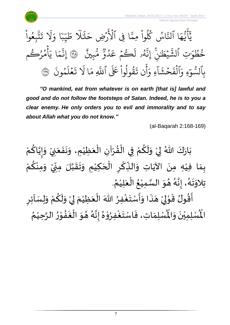

 *Jabatan Agama Islam Selangor*



*"O mankind, eat from whatever is on earth [that is] lawful and good and do not follow the footsteps of Satan. Indeed, he is to you a clear enemy. He only orders you to evil and immorality and to say about Allah what you do not know."*

(al-Baqarah 2:168-169)

ْ بَارَكَ اللّهُ لِيْ وَلَكُمْ فِي الْقُرْآنِ الْعَظِيْمِ، وَنَفَعَنِيْ وَإِيَّاكُمْ َ  $\ddot{\phantom{0}}$  $\ddot{\phantom{0}}$  $\tilde{\cdot}$ ْ َ ֦֧֦֧֦֧֦֧֦֧֦֧֦֧֜֜֜֜֓֓<br>֧ׅׅ֝֜֜֜֜֜֜֜֜֜֜֜֜֜֝֜֜֬֟ ْ  $\frac{9}{4}$ ֦֧֦֧֦֧֦֧֦֧֦֧֦֧֦֧֜֜֜֓֓<br>**֡** ْ <u>و</u>  $\tilde{\mathbf{r}}$  $\frac{1}{2}$ ْ  $\frac{1}{2}$  $\ddot{\phantom{0}}$ ْ ِ<br>م ن<br>• !<br>-<br>- $\tilde{\cdot}$ ์ بِمَا فِيْهِ مِنَ الآيَاتِ وَالنِّكْرِ الْحَكِيْمِ وَتَقَبَّلَ مِنِّيْ وَمِنْكُمْ ْ <u>ل</u> ْ  $\frac{1}{2}$ **ٔ** -<br>-<br>- $\sum$ ن<br>ا  $\frac{1}{2}$  $\frac{1}{2}$  $\tilde{\cdot}$ ֦֧֦֦֧֝<u>֦</u>  $\overline{\phantom{a}}$ ֝֟֝֟֟֟֟֟֟֟֟֜֜֜֕֜֜֜<br>֧֝֜֜<sup>֟</sup>֓֝֟  $\sum$ ؚ<br>م  $\frac{1}{2}$ ์ $\frac{1}{2}$ ِ<br>پُ  $\ddot{\phantom{0}}$ ֦֦֦֦֦֦֝֝֝֝֝֝**֦** . ़<br>१ تِلاوَتَهُ، إِنَّهُ هُوَ السَّمِيْعُ الْعَلِيْمُ ْ  $\frac{1}{2}$ ْ ُ ំ<br>រ ا<br>ما  $\frac{1}{2}$  $\frac{1}{2}$ و<br>گ بة<br>•  $\frac{1}{2}$ .<br>१<br>1  $\ddot{\ }$  $\frac{1}{2}$ <u>ہ</u>  $\tilde{\mathbf{r}}$ ֦֧֦֧֦֧֦֧֦֧֦֧֦֧֜֜֜֜֓֓<br>**֡** ارا<br>∶ِ  $\ddot{\cdot}$  $\frac{1}{2}$ ر<br>ژ ्<br>इ

 $\sum$ أَقُولُ قَوْلِيْ هَذَا وَأَسْتَغْفِرُ اللّٰهَ الْعَظِيْمَ لِيْ وَلَكُمْ وَلِسَاْئِرِ  $\tilde{\cdot}$ ْ  $\frac{1}{2}$ ْ إ ์<br>-<br><del>ค</del> ْ َ ∫<br>∕ ۠<br>؞  $\ddot{\phantom{0}}$  $\frac{1}{2}$  $\overline{a}$ ំ<br>, لمح י<br>י  $\frac{1}{2}$ ر<u>ب</u><br>لْمُسْلِمَاتِ، فَاسْتَغْفِرُ<sub>ُ</sub> ْ  $\frac{1}{2}$  $\frac{1}{2}$  $\frac{1}{2}$ ر۔<br>لْمُسْلِمِيْنَ وَالْمُ  $\frac{1}{2}$  $\ddot{\phantom{0}}$ ់<br>រ الْمُسْلِمِيْنَ وَالْمُسْلِمَاتِ، فَاسْتَغْفِرُوْهُ إِنَّهُ هُوَ الْغَفُوْرُ الرَّحِيْمُ ُ ْ ان<br>م  $\frac{1}{2}$ י<br>י  $\frac{1}{2}$  $\ddot{\cdot}$ ر<br>ا  $\frac{1}{2}$  $\frac{1}{2}$ و<br>گ اتا<br>ج  $\frac{1}{2}$  $\frac{1}{2}$ ֦֧֦֦֝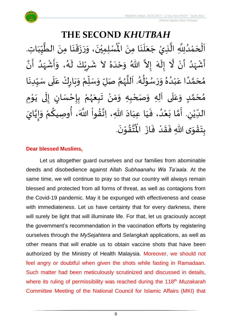

**THE SECOND** *KHUTBAH* للسلمِيْنَ، وَرَزَقَنَا مِنَ الطَّيِّبَاتِ  $\frac{1}{1}$  $\frac{1}{2}$  $\frac{1}{2}$ ان<br>ا  $\ddot{\phantom{0}}$ ्<br>;  $\frac{1}{2}$  $\ddot{\cdot}$  $\frac{1}{2}$  $\tilde{\cdot}$  $\ddot{\phantom{0}}$ ٝ<br>ا اَلْحَمْدُلِلَّهِ الَّذِيْ جَعَلَنَا مِنَ الْمُسْلِمِيْنَ، وَرَزَقَنَا مِنَ الطَّيِّبَاتِ.  $\ddot{\phantom{0}}$  $\ddot{\phantom{0}}$ َ<br>الم َ  $\overline{\phantom{a}}$ ا<br>ا اتا<br>ا و<br>و ំ<br>ត  $\overline{\phantom{a}}$ ْ  $\overline{\phantom{a}}$ ا<br>ا أَشْهَدُ أَنْ لَّا إِلَهَ إِلاَّ اللّهُ وَحْدَهُ لاَ شَرِيْكَ لَهُ، وَأَشْهَدُ أَنَّ ْ ر<br>پنج و<br>ا ر<br>زن ْ ِ<br>پ ै<br>जन्म تا<br>ج ر<br>آم  $\tilde{\cdot}$  $\frac{1}{2}$  $\tilde{\phantom{0}}$  $\frac{1}{2}$ ِ<br>ا  $\tilde{\cdot}$ ا<br>به<br>• -<br>:<br>: بر<br>د  $\frac{1}{2}$ ْ  $\frac{1}{2}$  $\tilde{\cdot}$ ر<br>گ  $\tilde{\mathbf{r}}$ ْ  $\overline{\phantom{a}}$  $\frac{1}{2}$ و<br>و مُحَمَّدًا عَبْدُهُ وَرَسُوْلُهُ. اَللَّهُمَّ صَلِّ وَسَلِّمْ وَبَارِكْ عَلَى سَبِّدِنَا ْ .<br>م ً<br>ا ت<br>م  $\overline{\phantom{a}}$ ر<br>م  $\ddot{\phantom{0}}$  $\frac{1}{1}$  $\frac{1}{2}$ `<br>أ  $\frac{1}{2}$ ر<br>و  $\ddot{\phantom{0}}$  $\frac{1}{2}$ ْ ์<br>ข้  $\overline{r}$  $\tilde{\cdot}$ ن<br>م ر<br>ر<br>ر ا<br>ا  $\overline{\phantom{a}}$ و<br>گ ٍ<br>∲ י<br>י و<br>م  $\frac{1}{2}$  $\frac{1}{2}$  $^{\circ}$ مُحَمَّدٍ وَعَلَى آلِهِ وَصَحْبِهِ وَمَنْ تَبِعَهُمْ بِإِحْسَانٍ إِلَى يَوْمِ <u>ل</u>ے ت<br>م  $\overline{\phantom{a}}$ و<br>م  $\overline{\mathbf{r}}$ ً<br>م  $\tilde{\cdot}$ י<br>י ا<br>با<br>•  $\ddot{\phantom{0}}$ ل  $\frac{1}{2}$ )<br>=<br>= ْ <u>د</u><br>-ْ ر<br>ر  $\frac{1}{2}$  $\frac{1}{2}$ ْ  $\frac{1}{2}$ ์ $\tilde{\cdot}$ ֦֧<u>֦</u> ٔ<br>ا الدِّيْنِ. أَمَّا بَعْدُ، فَيَا عِبَادَ اللّهِ، اِتَّقُواْ اللَّهَ، أُوصِيكُمْ وَإِيَّايَ ′<br>مو ن<br>\*  $\ddot{\phantom{0}}$  $\frac{1}{1}$  $\frac{1}{1}$  $\frac{1}{2}$ و<br>و ْ  $\ddot{\ }$ ت<br>م  $\frac{1}{2}$  $\sum$ ْ  $\frac{1}{\sqrt{2}}$ ن<br>•<br>• !<br>-<br>- $\frac{1}{2}$ .<br>م <u>ل</u> ُ<br>پیدائش<br>نانیا .  $\ddot{\phantom{0}}$ تقوْنَ ֦֧֝֝֝<br>**֧**  $\frac{9}{4}$ ا<br>استقطا<br>جوا ُ<br>مو بِتَقْوَى اللهِ فَقَدْ فَازَ الْمُ  $\ddot{\cdot}$  $\frac{1}{2}$ ْ  $\frac{1}{2}$  $\frac{1}{2}$  $\frac{1}{2}$ ْ  $\ddot{\ }$  $\ddot{\cdot}$ 

#### **Dear blessed Muslims,**

Let us altogether guard ourselves and our families from abominable deeds and disobedience against Allah *Subhaanahu Wa Ta'aala*. At the same time, we will continue to pray so that our country will always remain blessed and protected from all forms of threat, as well as contagions from the Covid-19 pandemic. May it be expunged with effectiveness and cease with immediateness. Let us have certainty that for every darkness, there will surely be light that will illuminate life. For that, let us graciously accept the government's recommendation in the vaccination efforts by registering ourselves through the *MySejahtera* and *Selangkah* applications, as well as other means that will enable us to obtain vaccine shots that have been authorized by the Ministry of Health Malaysia. Moreover, we should not feel angry or doubtful when given the shots while fasting in Ramadaan. Such matter had been meticulously scrutinized and discussed in details, where its ruling of permissibility was reached during the 118<sup>th</sup> Muzakarah Committee Meeting of the National Council for Islamic Affairs (MKI) that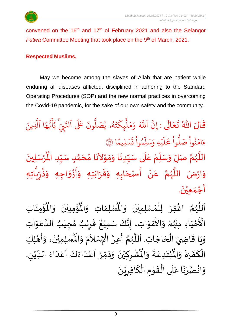

convened on the  $16<sup>th</sup>$  and  $17<sup>th</sup>$  of February 2021 and also the Selangor *Fatwa* Committee Meeting that took place on the 9<sup>th</sup> of March, 2021.

#### **Respected Muslims,**

May we become among the slaves of Allah that are patient while enduring all diseases afflicted, disciplined in adhering to the Standard Operating Procedures (SOP) and the new normal practices in overcoming the Covid-19 pandemic, for the sake of our own safety and the community.

قَالَ اللّٰهُ تَعَالَى : إِنَّ ِ<br>الإ  $\overline{\phantom{a}}$  $\frac{1}{2}$  $\frac{1}{2}$ ِّن ٱ إ ہے<br>آکے للَّهَ وَمَلْيِكْتَهُ و<br>لھ  $\ddot{\phantom{0}}$ ت الم<br>من ِّك ئ ر<br>آ  $\mathcal{L}$  $\frac{1}{2}$ م  $\frac{1}{2}$ وَمَلْيِكَتَهُو يُصَلُّونَ عَلَى ون و<br>ا يُصَلُّونَ عَلَى ٱلتَّبِيِّ ُو لتَّبِّ يَايُّهَا ر<br>م ه و<br>د يت<br>پ ِ<br>اع  $\overline{\mathcal{L}}$ َىد<br>د يَّأَيُّهَا ٱلَّذِينَ ِ<br>آبا َّل  $\frac{2}{3}$ ن*َّيْ*ليمَّ  $\ddot{\phantom{0}}$  $\ddot{\phantom{0}}$ ت ِ<br>ا وا ِّم و ں<br>آ ل ِ بدَ  $\frac{1}{2}$ يَّهِ وَ<sub>َ</sub>  $\ddot{\phantom{0}}$ ر<br>آ  $\mathcal{L}$ ر<br>ح ع وا ؙ<br>; و<br>ا ب<br>نُواْ صَلَّ ْ ُو<br>وُ  $\frac{1}{2}$ ءَامَنُواْ صَلُّواْ عَلَيْهِ وَسَلِّمُواْ تَسۡلِيمًا ۞

اللَّهُمَّ صَلِّ وَسَلِّمْ عَلَى سَيِّدِنَا وَمَوْلاَنَا مُحَمَّدٍ سَيِّدِ الْمُرْسَلِينَ  $\ddot{\phantom{0}}$ ْ ُْ للَّهُمَّ صَلِّ وَسَلِّمْ عَلَى سَيِّدِنَا وَمَوْلاَنَا مُحَمَّدٍ سَيِّدِ الْمُ  $\frac{1}{1}$  $\frac{1}{2}$ <u>ل</u> ة<br>م ِ<br>ا  $\frac{1}{2}$  $\overline{\phantom{a}}$ ्<br>बाह्य प्राप्त का प्राप्त का प्राप्त का प्राप्त का प्राप्त का प्राप्त का प्राप्त का प्राप्त का प्राप्त का प्राप्त का प्राप्त का प्राप्त का प्राप्त का प्राप्त का प्राप्त का प्राप्त का प्राप्त का प्राप्त का प्राप्त का प्र ֦֦֝<br>**֝**  $\frac{1}{2}$  $\frac{1}{2}$ ا<br>بالمحال  $\frac{1}{1}$ ۔<br>آ  $\frac{1}{2}$ ْ .<br>ا  $\overline{r}$  $\frac{1}{2}$ انا<br>م و<br>ر ا<br>ا وَارْضَ اللَّهُمَّ عَنْ أَصْحَابِهِ وَقَرَابَتِهِ وَأَزْوَاجِهِ وَذُرِّيَّاتِهِ ا<br>تا  $\frac{1}{2}$ ر<br>( ا<br>بال<br>:  $\frac{1}{2}$  $\frac{1}{2}$ ْ  $\frac{1}{2}$  $\frac{1}{2}$  $\frac{1}{2}$  $\frac{1}{2}$  $\frac{1}{2}$  $\frac{1}{2}$ َ ا<br>ج ْ  $\frac{1}{2}$ ن<br>م ر<br>ر المستعمل  $\frac{1}{2}$  $\ddot{\phantom{0}}$ أَجْمَعِيْنَ. ْ  $\frac{1}{2}$ ֦֧<u>֦</u>  $\frac{1}{2}$ 

ر<br>ؤم ់<br>: ُْ ِ<br>لْمُسْلِمَاتِ وَالْمُ  $\frac{1}{2}$  $\frac{1}{\sqrt{2}}$ ِ<br>اَللَّهُمَّ اغْفِرْ لِلْمُسْلِمِيْنَ وَالْمُسْلِمَاتِ وَالْمُؤْمِنِيْنَ وَالْمُؤْمِنَاتِ  $\frac{1}{2}$  $\ddot{\phantom{0}}$ ់<br>**រ** ,<br>ለ ֦֧֦֧֦֧֦֧֦֧֦֜֜֓֓֟ ْ ن<br>م ر<br>ر<br>ر ا<br>آ  $\mathbf{r}$  $\ddot{\phantom{0}}$ ់<br>: ُْ نيْنَ وَالْمُ  $\tilde{\cdot}$  $\ddot{\phantom{0}}$ ْ ـــ<br>م<br>م الْأَحْيَاءِ مِنْهُمْ وَالأَمْوَاتِ، إِنَّكَ سَمِيْعٌ قَرِيْبٌ مُجِيْبُ الدَّعَوَاتِ َ ֦֧<u>֦</u> ْ بو<br>زړ ْ  $\frac{1}{2}$ י<br>ה ں<br>ج  $\ddot{\ }$ .<br>م ان<br>ا ُ ֦֧֦֧֦֧֝<u>֚</u>  $\frac{1}{2}$ ه<br>د ا قَرِرْ  $\overline{\phantom{a}}$  $\ddot{\ddot{\cdot}}$ ٌ ، إِنَّكَ سَمِيْعٌ ْ ن<br>•<br>•  $\frac{1}{2}$ وَيَا قَاضِيَ الْحَاجَاتِ. اَللَّهُمَّ أَعِزَّ الْإِسْلاَمَ وَ  $\overline{\phantom{a}}$ ֦֧֦֧֦֧֦֧֦֧֦֧֦֧֦֧֟֓֓<br>**֧**  $\overline{a}$ ֦֧֝֝<br>֦֧֦֦֝֝֝֝֝֝֝֝֝֜֝֝֝֝֝֝֝֝<br>֝֝֝**֟**֟֝֝  $\frac{1}{2}$  $\frac{1}{2}$ ر<br>آ ة<br>أ ر<br>ر ن<br>م  $\frac{1}{2}$ ا<br>به<br>۱ ا<br>م  $\tilde{\phantom{a}}$ ر<br>د  $\tilde{\cdot}$  $\ddot{\hat{}}$ الْمُمْلِمِيْنَ، وَأَهْلِكِ ّ<br>م ْ ي  $\ddot{\phantom{0}}$  $\overline{1}$ י<br>**י** ا<br>با  $\tilde{\cdot}$ ّ<br>ا<br>ا ؙ*ۺ۠*ڔؚڮؽ۠*ڹؘ* وَدَمِّرْ  $\frac{1}{\lambda}$  $\sim$  $\tilde{ }$  $\ddot{\phantom{0}}$ ْ  $\sum$ ْ  $\frac{1}{\sqrt{2}}$ ُبْتَدِعَةً وَالْمُ  $\frac{1}{2}$  $\ddot{=}$ ِ<br>م  $\ddot{\ }$ ْ  $\ddot{\bm{r}}$ الْكَفَرَةَ وَالْمُبْتَدِعَةَ وَالْمُشْرِكِيْنَ وَدَمِّرْ أَعْدَاءَكَ أَعْدَاءَ الدِّيْنِ. ์ $\tilde{\cdot}$  $\frac{1}{2}$  $\frac{1}{2}$  $\frac{1}{2}$ ์<br>-<br>-بـــ<br>1 ڔ ْ  $\frac{1}{1}$  $\frac{1}{2}$ ا<br>ا<br>ا ۔<br>م ֝<br>֡֜֜֜ َ<br>و  $\frac{1}{2}$ ا<br>-<br>ا ِ<br>م  $\overline{\phantom{a}}$ .  $\ddot{\phantom{0}}$ وَانْصُرْنَا عَلَى الْقَوْمِ الْكَافِرِيْنَ ْ  $\overline{2}$ ์<br>-<br>-ّ<br>أ  $\frac{1}{2}$ י<br>י  $\frac{1}{2}$ ّ<br>أ  $\overline{\phantom{a}}$ ِ<br>م  $\ddot{\phantom{0}}$ ْ **ہ** ់<br>•  $\frac{1}{2}$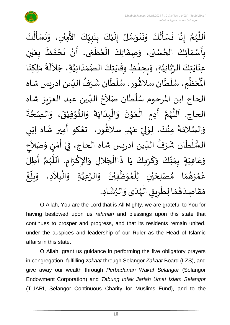

اَللَّهُمَّ إِنَّا نَسْأَلُكَ وَنَتَوَسَّلُ إِلَيْكَ بِنَبِيِّكَ الأَمِيْنِ، وَنَسْأَلُكَ  $\frac{1}{1}$  $\frac{1}{2}$ <u>لم</u><br>:  $\ddot{\phantom{0}}$ <u>د</u><br>: ំ<br>រ  $\tilde{\mathbf{r}}$  $\frac{1}{2}$ ا<br>ما  $\frac{1}{2}$  $\ddot{\phantom{0}}$  $\ddot{\phantom{0}}$  $\frac{1}{2}$ ُمُ<br>اُ∱  $\sum_{i=1}^{n}$  $\ddot{\phantom{0}}$ ا<br>با<br>:  $\frac{1}{2}$ ن<br>م ر<br>ر<br>ر ا<br>آ  $\mathbf{r}$ َ<br>ج ُ<br>اُ∱  $\sum_{i=1}^{n}$  $\ddot{\phantom{0}}$  $\tilde{\cdot}$ ْ  $\ddot{\phantom{0}}$ .<br>بِأَسْمَآئِكَ الْحُسْنَى، وَصِفَاتِكَ الْعُظُمَى، أَنْ تَحْفَظَ بِعَيْنِ و<br>م ْ  $\frac{1}{2}$  $\frac{1}{2}$ <u>د</u><br>: ر<br>م ֦֧֦֧֦֧֦֧֦֧֦֧֦֧֦֧֧֦֧֦֧֦֧֦֧֦֧֦֧֦֝֝֟֓֓֜֓֓֟֓֓֟֓֓֟֓<br>**֧**  $\frac{1}{2}$ ֦֧֦֧֦֧֦֧֦֧֦֧֦֧֦֧֜֜֓֓֟֓<br>֧ׅׅ֝֜֜֜֜֜֜֜֜֜֜֜֜֜֜֝֜֜֬֟  $\ddot{\cdot}$  $\frac{1}{2}$ ْ ي َ  $\frac{1}{\sqrt{2}}$  $\ddot{\cdot}$  $\frac{1}{2}$ ْ  $\sum_{i=1}^{n}$ ر<br>عِنَايَتِكَ الرَّبَّانِيَّةِ، وَبِحِفْظِ وِقَايَتِكَ الصَّمَدَانِيَّةِ، جَلاَلَةَ مَلِكِنَا  $\ddot{\phantom{0}}$  $\ddot{\phantom{0}}$ ان<br>ا ن<br>م<br>۱ انہ<br>م  $\tilde{\phantom{0}}$ ان<br>ا  $\frac{1}{1}$  $\frac{1}{2}$ اتا<br>مر  $\ddot{\phantom{0}}$  $\frac{1}{2}$ ້<br>: ر<br>خ  $\frac{1}{2}$  $\ddot{\cdot}$ ِ<br>پ  $\ddot{\phantom{0}}$  $\frac{1}{2}$  م ظ ع ر<br>آباد  $\frac{1}{2}$ ر<br>مو الْمُخَطَّمِ، سُلْطَان سلَاغُور، سُلْطَان شَرَفُ الدِّين ادريس شاه ر<br>م ر<br>أ و<br>م }<br>፟**፟**  $\frac{1}{\sqrt{2}}$ ُ  $\frac{1}{2}$ ر<br>م ֦֧֦֧֦ ٍ<br>م  $\sim$ الحاج ابن المرحوم سُلْطَان صَلاَحُ الدِّين عبد العزيز شاه  $\ddot{\cdot}$ ا<br>أ و<br>ر  $\frac{1}{2}$ ُ الحاج. اَللَّهُمَّ أَدِمِ الْعَوْنَ وَالْبِدَايَةَ وَالتَّوْفِيْقَ، وَ  $\frac{1}{2}$  $\ddot{\cdot}$  $\ddot{\phantom{0}}$ ا<br>ا ้<br>≀<br>๎  $\frac{1}{2}$  $\ddot{\phantom{0}}$ ់<br>់  $\frac{1}{2}$ ْ  $\frac{1}{2}$ َ انا<br>م ر<br>ر ا<br>ا ،<br>آ  $\ddot{\cdot}$ .<br>الصّحّةَ ن<br>م  $\frac{1}{2}$  $\ddot{\phantom{0}}$ ْ י<br>י انا ى<br>وَالسَّلامَةَ مِنْكَ، لِوَلِيِّ عَهْدِ سلاڠُورِ، تَعْكُو أَمِيرِ شَاه اِبْنِ ٝ<br>ٛ<br>ٛ .<br>م ม<br>"  $\frac{1}{2}$ لم  $\frac{1}{2}$ ْ  $\ddot{ }$  $\frac{1}{2}$ ا<br>ما  $\frac{1}{2}$ }<br>፟**፟** ْ  $\frac{1}{2}$ ֝֝֝֝֝֝֝֟֝֝֝֝֝֝֝֝<br>֧֝֝֝֝֝֝֝֝֝֝<br>֧֝֝֝֝֝֝֝֝֝ السُّلْطَان شَرَفُ الدِّين ادريس شاه الحاج، فِيْ أَمْنٍ وَصَلاََ ۔<br>س ُ ِرِ ์<br>ิ์ ٝ<br>ا ر<br>سر<br>سر  $\frac{1}{2}$ ْ َ  $\frac{1}{2}$ )<br>إ י<br>י  $\sum_{i=1}^{n}$ ।<br>त م<br>ح<br>ح للَّهُمَّ أَطِلُّ ا<br>:<br>: تا<br>م َ<br>وفي<br>وفي سم<br>تار<br>ا  $\overline{\phantom{a}}$ وَعَافِيَةٍ بِمَنَّكَ وَكَرَمِكَ يَا ذَاالْجَلالِ وَالإِكْرَامِ. اَ  $\ddot{\phantom{0}}$ ا<br>د  $\frac{1}{2}$  $\overline{\phantom{a}}$ ا<br>أ  $\ddot{\cdot}$  $\ddot{\phantom{0}}$ ์<br>-<br>- $\frac{1}{2}$  $\frac{1}{2}$  $\frac{1}{2}$  $\frac{1}{2}$  $\frac{1}{2}$ َ .<br>م  $\frac{1}{2}$ رَ ់<br>< ه<br>لم و<br>م و<br>ڪ  $\tilde{\phantom{a}}$ الْبِلاَدِ، وَ ֦֧֦֧֦֧֦֧֝<u>֦</u> ا<br>ا لِحَيْنِ لِلْمُوَظَّفِيْنَ وَالرَّعِيَّةِ وَ ان<br>ا اتا<br>ا ์  $\ddot{\phantom{0}}$ ់<br>រ ا<br>ا  $\frac{1}{2}$ ๋<br>ለ ់<br>( ់<br>ព ي  $\overline{\phantom{a}}$ صْ ا م  $\frac{1}{2}$  $\frac{1}{2}$ م  $\frac{1}{2}$ و<br>ها ֧֞֟<u>֚</u> غ .<br>ا  $\sum_{i=1}^{n}$ بلآ  $\tilde{\cdot}$ م<br>م مَقَاصِدَهُمَا لِطَرِيقِ الْهُدَى وَالرَّشَادِ. ر<br>ر<br>ر ֦֧֦֧֦֦֧֦֧֦֧֦֧֦֝֜֜֓֓֟֓֟֓֟֓֟֓<br>֧֜֜֜֜֜֜֜֜**֓** Ï  $\overline{\phantom{a}}$  $\frac{1}{\epsilon}$  $\frac{1}{2}$  $\frac{1}{2}$ َ  $\frac{1}{2}$  $\frac{1}{2}$ ្រ  $\tilde{\cdot}$ 

O Allah, You are the Lord that is All Mighty, we are grateful to You for having bestowed upon us *rahmah* and blessings upon this state that continues to prosper and progress, and that its residents remain united, under the auspices and leadership of our Ruler as the Head of Islamic affairs in this state.

O Allah, grant us guidance in performing the five obligatory prayers in congregation, fulfilling *zakaat* through Selangor *Zakaat* Board (LZS), and give away our wealth through *Perbadanan Wakaf Selangor* (Selangor Endowment Corporation) and *Tabung Infak Jariah Umat Islam Selangor* (TIJARI, Selangor Continuous Charity for Muslims Fund), and to the